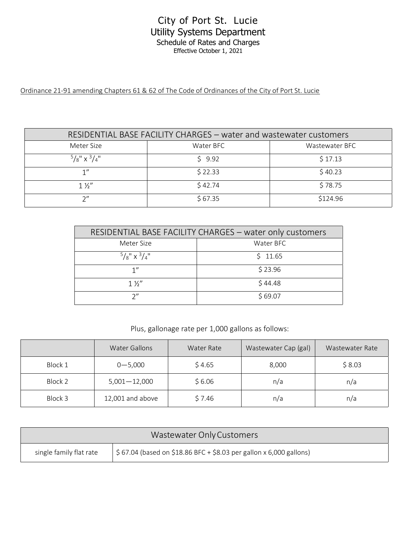## City of Port St. Lucie Utility Systems Department Schedule of Rates and Charges Effective October 1, 2021

Ordinance 21-91 amending Chapters 61 & 62 of The Code of Ordinances of the City of Port St. Lucie

| RESIDENTIAL BASE FACILITY CHARGES - water and wastewater customers |           |                |
|--------------------------------------------------------------------|-----------|----------------|
| Meter Size                                                         | Water BFC | Wastewater BFC |
| $^{5}/\frac{1}{8}$ x $^{3}/\frac{1}{4}$                            | 59.92     | \$17.13        |
| 1"                                                                 | \$22.33   | \$40.23        |
| $1\frac{1}{2}$                                                     | \$42.74   | \$78.75        |
| つ"                                                                 | \$67.35   | \$124.96       |

| RESIDENTIAL BASE FACILITY CHARGES - water only customers |           |  |
|----------------------------------------------------------|-----------|--|
| Meter Size                                               | Water BFC |  |
| $^{5}/\frac{1}{8}$ " x $^{3}/\frac{1}{4}$ "              | \$11.65   |  |
| 1"                                                       | \$23.96   |  |
| $1\frac{1}{2}$                                           | \$44.48   |  |
| つ〃                                                       | \$69.07   |  |

Plus, gallonage rate per 1,000 gallons as follows:

|         | <b>Water Gallons</b> | Water Rate | Wastewater Cap (gal) | Wastewater Rate |
|---------|----------------------|------------|----------------------|-----------------|
| Block 1 | $0 - 5,000$          | \$4.65     | 8,000                | \$8.03          |
| Block 2 | $5,001 - 12,000$     | \$6.06     | n/a                  | n/a             |
| Block 3 | 12,001 and above     | \$7.46     | n/a                  | n/a             |

|                         | Wastewater Only Customers                                                         |
|-------------------------|-----------------------------------------------------------------------------------|
| single family flat rate | $\frac{1}{2}$ \$ 67.04 (based on \$18.86 BFC + \$8.03 per gallon x 6,000 gallons) |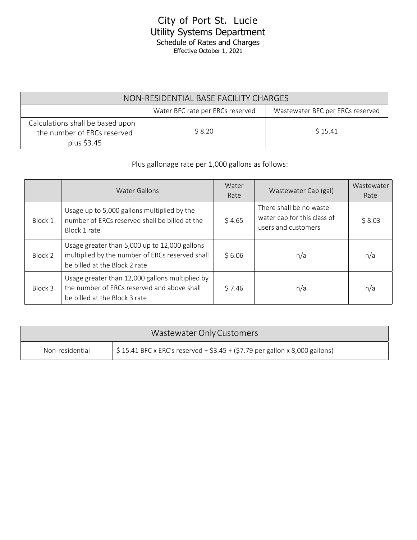## City of Port St. Lucie Utility Systems Department Schedule of Rates and Charges Effective October 1, 2021

| NON-RESIDENTIAL BASE FACILITY CHARGES                                          |        |         |  |
|--------------------------------------------------------------------------------|--------|---------|--|
| Wastewater BFC per ERCs reserved<br>Water BFC rate per ERCs reserved           |        |         |  |
| Calculations shall be based upon<br>the number of ERCs reserved<br>plus \$3.45 | \$8.20 | \$15.41 |  |

## Plus gallonage rate per 1,000 gallons as follows:

|         | <b>Water Gallons</b>                                                                                                              | Water<br>Rate | Wastewater Cap (gal)                                                           | Wastewater<br>Rate |
|---------|-----------------------------------------------------------------------------------------------------------------------------------|---------------|--------------------------------------------------------------------------------|--------------------|
| Block 1 | Usage up to 5,000 gallons multiplied by the<br>number of ERCs reserved shall be billed at the<br>Block 1 rate                     | \$4.65        | There shall be no waste-<br>water cap for this class of<br>users and customers | \$8.03             |
| Block 2 | Usage greater than 5,000 up to 12,000 gallons<br>multiplied by the number of ERCs reserved shall<br>be billed at the Block 2 rate | \$6.06        | n/a                                                                            | n/a                |
| Block 3 | Usage greater than 12,000 gallons multiplied by<br>the number of ERCs reserved and above shall<br>be billed at the Block 3 rate   | \$7.46        | n/a                                                                            | n/a                |

|                 | Wastewater Only Customers                                                                  |
|-----------------|--------------------------------------------------------------------------------------------|
| Non-residential | $\frac{1}{2}$ \$ 15.41 BFC x ERC's reserved + \$3.45 + (\$7.79 per gallon x 8,000 gallons) |